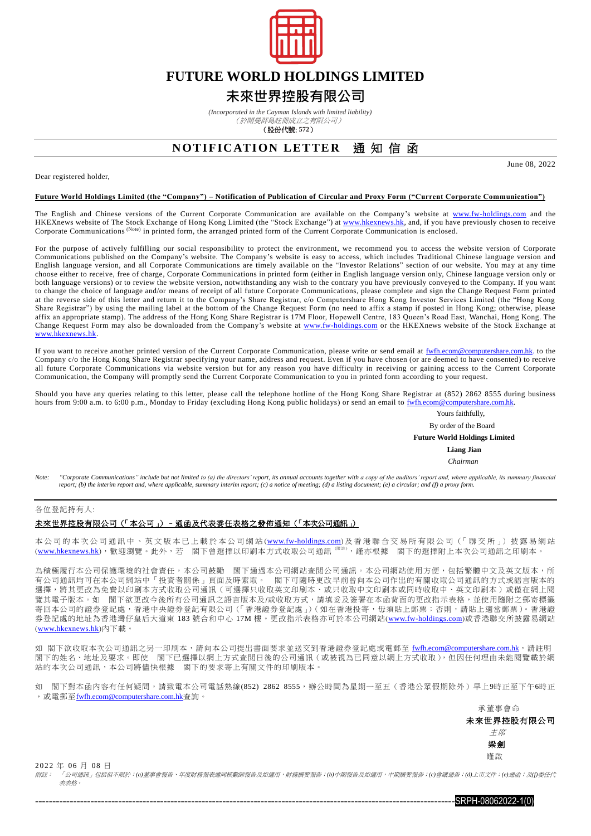

## **FUTURE WORLD HOLDINGS LIMITED**

## **未來世界控股有限公司**

*(Incorporated in the Cayman Islands with limited liability)*

(於開曼群島註冊成立之有限公司)

(股份代號: **572**)

### **NOTIFICATION LETTER** 诵 知 信 函

Dear registered holder

June 08, 2022

#### **Future World Holdings Limited (the "Company") – Notification of Publication of Circular and Proxy Form ("Current Corporate Communication")**

The English and Chinese versions of the Current Corporate Communication are available on the Company's website at [www.fw-holdings.com](http://www.fw-holdings.com/) and the HKEXnews website of The Stock Exchange of Hong Kong Limited (the "Stock Exchange") a[t www.hkexnews.hk,](http://www.hkexnews.hk/index.htm) and, if you have previously chosen to receive Corporate Communications (Note) in printed form, the arranged printed form of the Current Corporate Communication is enclosed.

For the purpose of actively fulfilling our social responsibility to protect the environment, we recommend you to access the website version of Corporate Communications published on the Company's website. The Company's website is easy to access, which includes Traditional Chinese language version and English language version, and all Corporate Communications are timely available on the "Investor Relations" section of our website. You may at any time choose either to receive, free of charge, Corporate Communications in printed form (either in English language version only, Chinese language version only or both language versions) or to review the website version, notwithstanding any wish to the contrary you have previously conveyed to the Company. If you want to change the choice of language and/or means of receipt of all future Corporate Communications, please complete and sign the Change Request Form printed at the reverse side of this letter and return it to the Company's Share Registrar, c/o Computershare Hong Kong Investor Services Limited (the "Hong Kong Share Registrar") by using the mailing label at the bottom of the Change Request Form (no need to affix a stamp if posted in Hong Kong; otherwise, please affix an appropriate stamp). The address of the Hong Kong Share Registrar is 17M Floor, Hopewell Centre, 183 Queen's Road East, Wanchai, Hong Kong. The Change Request Form may also be downloaded from the Company's website at [www.fw-holdings.com](http://www.fw-holdings.com/) or the HKEXnews website of the Stock Exchange at [www.hkexnews.hk.](http://www.hkexnews.hk/index.htm)

If you want to receive another printed version of the Current Corporate Communication, please write or send email at [fwfh.ecom@computershare.com.hk.](mailto:fwfh.ecom@computershare.com.hk) to the Company c/o the Hong Kong Share Registrar specifying your name, address and request. Even if you have chosen (or are deemed to have consented) to receive all future Corporate Communications via website version but for any reason you have difficulty in receiving or gaining access to the Current Corporate Communication, the Company will promptly send the Current Corporate Communication to you in printed form according to your request.

Should you have any queries relating to this letter, please call the telephone hotline of the Hong Kong Share Registrar at (852) 2862 8555 during business hours from 9:00 a.m. to 6:00 p.m., Monday to Friday (excluding Hong Kong public holidays) or send an email to [fwfh.ecom@computershare.com.hk.](mailto:fwfh.ecom@computershare.com.hk)

Yours faithfully,

By order of the Board

 **Future World Holdings Limited**

 **Liang Jian** *Chairman*

Note: "Cornorate Communications" include but not limited to (a) the directors' renort its annual accounts together with a conv of the auditors' renort and where annlicable, its summary financial *report; (b) the interim report and, where applicable, summary interim report; (c) a notice of meeting; (d) a listing document; (e) a circular; and (f) a proxy form.*

#### 各位登記持有人:

### 未來世界控股有限公司(「本公司」)–通函及代表委任表格之發佈通知(「本次公司通訊」)

本 公 司 的 本 次 公 司 通 訊 中 、 英 文 版 本 已 上 載 於 本 公 司 網 站 (<u>[www.fw-holdings.com](http://www.fw-holdings.com/)</u>) 及 香 港 聯 合 交 易 所 有 限 公 司 (「 聯 交 所 」) 披 露 易 網 站 (<u>[www.hkexnews.hk](http://www.hkexnews.hk/index_c.htm)</u>),歡迎瀏覽。此外,若 閣下曾選擇以印刷本方式收取公司通訊<sup>《附註),</sup>謹亦根據 閣下的選擇附上本次公司通訊之印刷本。

為積極履行本公司保護環境的社會責任,本公司鼓勵 閣下通過本公司網站查閲公司通訊。本公司網站使用方便,包括繁體中文及英文版本,所 有公司通訊均可在本公司網站中「投資者關係」頁面及時索取。 閣下可隨時更改早前曾向本公司作出的有關收取公司通訊的方式或語言版本的 選擇,將其更改為免費以印刷本方式收取公司通訊(可選擇只收取英文印刷本、或只收取中文印刷本或同時收取中、英文印刷本)或僅在網上閱 覽其電子版本。如 閣下欲更改今後所有公司通訊之語言版本及/或收取方式,請填妥及簽署在本函背面的更改指示表格,並使用隨附之郵寄標籤 寄回本公司的證券登記處,香港中央證券登記有限公司 (「香港證券登記處」) (如在香港投寄,毋須貼上郵票;否則,請貼上適當郵票 )。香港證 券登記處的地址為香港灣仔皇后大道東 183 號合和中心 17M 樓。更改指示表格亦可於本公司網站([www.fw-holdings.com](http://www.fw-holdings.com/))或香港聯交所披露易網站 ([www.hkexnews.hk](http://www.hkexnews.hk/index_c.htm))內下載。

如 閣下欲收取本次公司通訊之另一印刷本,請向本公司提出書面要求並送交到香港證券登記處或電郵至 [fwfh.ecom@computershare.com.hk](mailto:fwfh.ecom@computershare.com.hk), 請註明 閣下的姓名、地址及要求。即使 閣下已選擇以網上方式查閲日後的公司通訊(或被視為已同意以網上方式收取),但因任何理由未能閱覽載於網 站的本次公司通訊,本公司將儘快根據 閣下的要求寄上有關文件的印刷版本。

如 閣下對本函內容有任何疑問,請致電本公司電話熱線(852) 2862 8555,辦公時間為星期一至五(香港公眾假期除外)早上9時正至下午6時正 , 或電郵至[fwfh.ecom@computershare.com.hk](mailto:fwfh.ecom@computershare.com.hk)查詢。

> 承董事會命 未來世界控股有限公司 主席 梁劍 謹啟

2 0 22 年 06 月 08 日

附註: 「公司通訊」包括但不限於:*(a)*董事會報告、年度財務報表連同核數師報告及如適用,財務摘要報告;*(b)*中期報告及如適用,中期摘要報告;*(c)*會議通告;*(d)*上市文件;*(e)*通函;及*(f)*委任代 表表格。